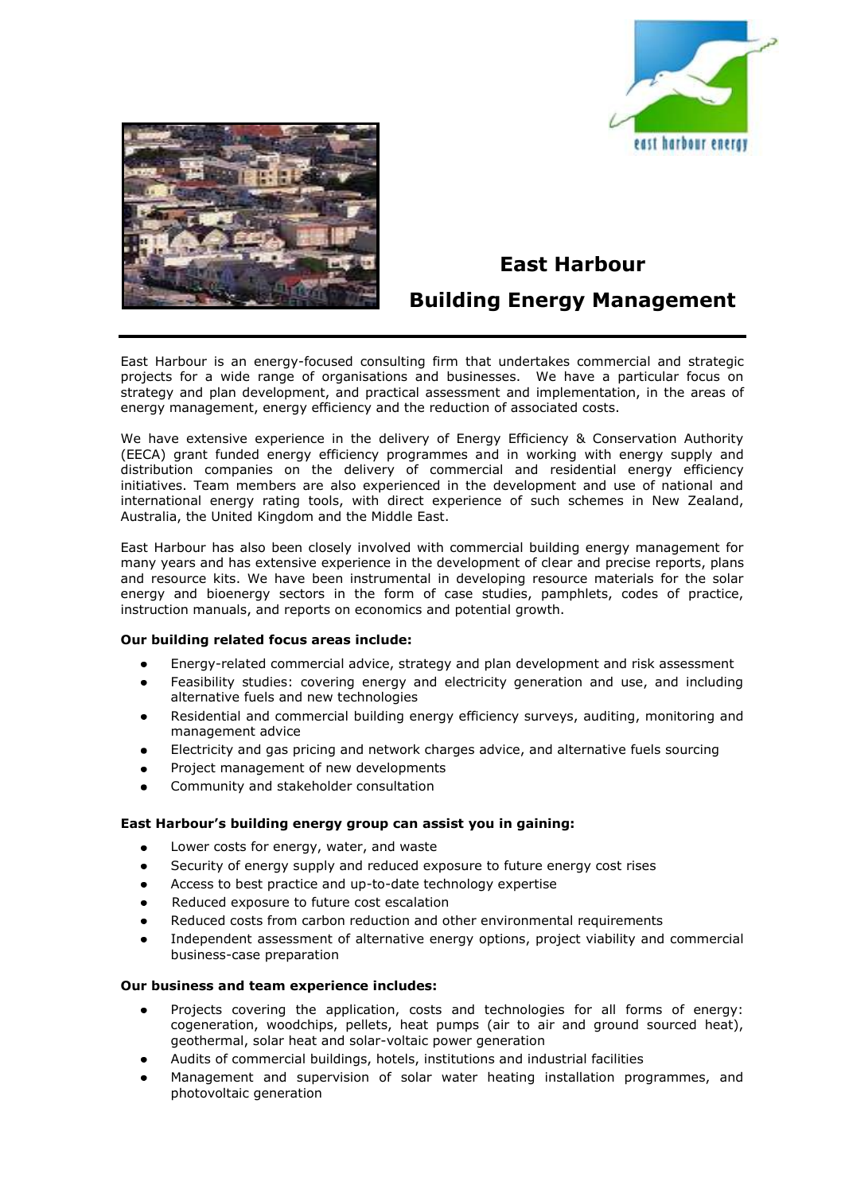



# **East Harbour**

## **Building Energy Management**

East Harbour is an energy-focused consulting firm that undertakes commercial and strategic projects for a wide range of organisations and businesses. We have a particular focus on strategy and plan development, and practical assessment and implementation, in the areas of energy management, energy efficiency and the reduction of associated costs.

We have extensive experience in the delivery of Energy Efficiency & Conservation Authority (EECA) grant funded energy efficiency programmes and in working with energy supply and distribution companies on the delivery of commercial and residential energy efficiency initiatives. Team members are also experienced in the development and use of national and international energy rating tools, with direct experience of such schemes in New Zealand, Australia, the United Kingdom and the Middle East.

East Harbour has also been closely involved with commercial building energy management for many years and has extensive experience in the development of clear and precise reports, plans and resource kits. We have been instrumental in developing resource materials for the solar energy and bioenergy sectors in the form of case studies, pamphlets, codes of practice, instruction manuals, and reports on economics and potential growth.

### **Our building related focus areas include:**

- $\bullet$ Energy-related commercial advice, strategy and plan development and risk assessment
- Feasibility studies: covering energy and electricity generation and use, and including alternative fuels and new technologies
- Residential and commercial building energy efficiency surveys, auditing, monitoring and management advice
- Electricity and gas pricing and network charges advice, and alternative fuels sourcing
- Project management of new developments
- Community and stakeholder consultation

### **East Harbour's building energy group can assist you in gaining:**

- Lower costs for energy, water, and waste
- Security of energy supply and reduced exposure to future energy cost rises
- Access to best practice and up-to-date technology expertise
- Reduced exposure to future cost escalation
- Reduced costs from carbon reduction and other environmental requirements
- Independent assessment of alternative energy options, project viability and commercial business-case preparation

### **Our business and team experience includes:**

- Projects covering the application, costs and technologies for all forms of energy: cogeneration, woodchips, pellets, heat pumps (air to air and ground sourced heat), geothermal, solar heat and solar-voltaic power generation
- Audits of commercial buildings, hotels, institutions and industrial facilities
- Management and supervision of solar water heating installation programmes, and photovoltaic generation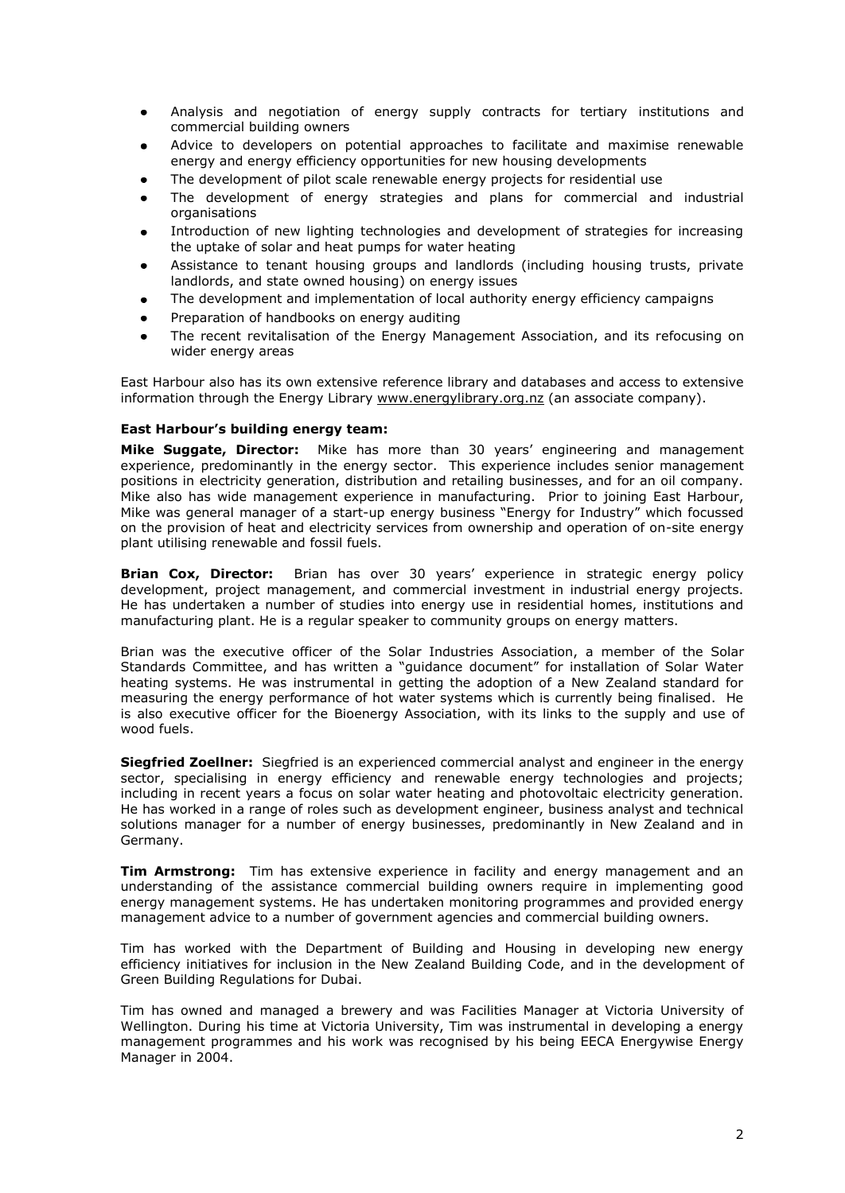- Analysis and negotiation of energy supply contracts for tertiary institutions and commercial building owners
- Advice to developers on potential approaches to facilitate and maximise renewable energy and energy efficiency opportunities for new housing developments
- The development of pilot scale renewable energy projects for residential use
- The development of energy strategies and plans for commercial and industrial organisations
- Introduction of new lighting technologies and development of strategies for increasing the uptake of solar and heat pumps for water heating
- Assistance to tenant housing groups and landlords (including housing trusts, private landlords, and state owned housing) on energy issues
- The development and implementation of local authority energy efficiency campaigns
- Preparation of handbooks on energy auditing
- The recent revitalisation of the Energy Management Association, and its refocusing on wider energy areas

East Harbour also has its own extensive reference library and databases and access to extensive information through the Energy Library [www.energylibrary.org.nz](http://www.energylibrary.org.nz/) (an associate company).

### **East Harbour's building energy team:**

**Mike Suggate, Director:** Mike has more than 30 years' engineering and management experience, predominantly in the energy sector. This experience includes senior management positions in electricity generation, distribution and retailing businesses, and for an oil company. Mike also has wide management experience in manufacturing. Prior to joining East Harbour, Mike was general manager of a start-up energy business "Energy for Industry" which focussed on the provision of heat and electricity services from ownership and operation of on-site energy plant utilising renewable and fossil fuels.

**Brian Cox, Director:** Brian has over 30 years' experience in strategic energy policy development, project management, and commercial investment in industrial energy projects. He has undertaken a number of studies into energy use in residential homes, institutions and manufacturing plant. He is a regular speaker to community groups on energy matters.

Brian was the executive officer of the Solar Industries Association, a member of the Solar Standards Committee, and has written a "guidance document" for installation of Solar Water heating systems. He was instrumental in getting the adoption of a New Zealand standard for measuring the energy performance of hot water systems which is currently being finalised. He is also executive officer for the Bioenergy Association, with its links to the supply and use of wood fuels.

**Siegfried Zoellner:** Siegfried is an experienced commercial analyst and engineer in the energy sector, specialising in energy efficiency and renewable energy technologies and projects; including in recent years a focus on solar water heating and photovoltaic electricity generation. He has worked in a range of roles such as development engineer, business analyst and technical solutions manager for a number of energy businesses, predominantly in New Zealand and in Germany.

**Tim Armstrong:** Tim has extensive experience in facility and energy management and an understanding of the assistance commercial building owners require in implementing good energy management systems. He has undertaken monitoring programmes and provided energy management advice to a number of government agencies and commercial building owners.

Tim has worked with the Department of Building and Housing in developing new energy efficiency initiatives for inclusion in the New Zealand Building Code, and in the development of Green Building Regulations for Dubai.

Tim has owned and managed a brewery and was Facilities Manager at Victoria University of Wellington. During his time at Victoria University, Tim was instrumental in developing a energy management programmes and his work was recognised by his being EECA Energywise Energy Manager in 2004.